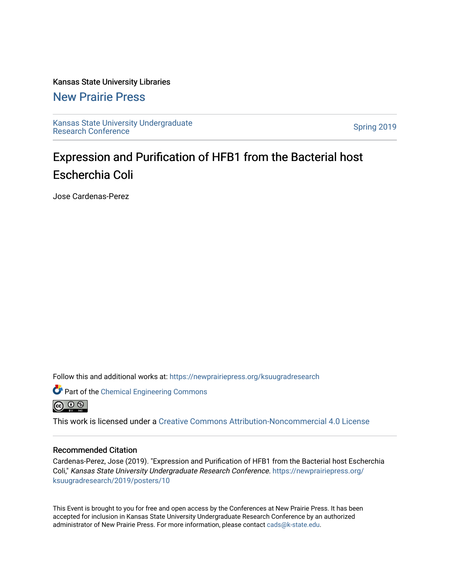### Kansas State University Libraries

### [New Prairie Press](https://newprairiepress.org/)

[Kansas State University Undergraduate](https://newprairiepress.org/ksuugradresearch)  Ransas State University Undergraduate<br>[Research Conference](https://newprairiepress.org/ksuugradresearch)

### Expression and Purification of HFB1 from the Bacterial host Escherchia Coli

Jose Cardenas-Perez

Follow this and additional works at: [https://newprairiepress.org/ksuugradresearch](https://newprairiepress.org/ksuugradresearch?utm_source=newprairiepress.org%2Fksuugradresearch%2F2019%2Fposters%2F10&utm_medium=PDF&utm_campaign=PDFCoverPages) 



Part of the [Chemical Engineering Commons](http://network.bepress.com/hgg/discipline/240?utm_source=newprairiepress.org%2Fksuugradresearch%2F2019%2Fposters%2F10&utm_medium=PDF&utm_campaign=PDFCoverPages)

This work is licensed under a [Creative Commons Attribution-Noncommercial 4.0 License](https://creativecommons.org/licenses/by-nc/4.0/)

### Recommended Citation

Cardenas-Perez, Jose (2019). "Expression and Purification of HFB1 from the Bacterial host Escherchia Coli," Kansas State University Undergraduate Research Conference. [https://newprairiepress.org/](https://newprairiepress.org/ksuugradresearch/2019/posters/10) [ksuugradresearch/2019/posters/10](https://newprairiepress.org/ksuugradresearch/2019/posters/10)

This Event is brought to you for free and open access by the Conferences at New Prairie Press. It has been accepted for inclusion in Kansas State University Undergraduate Research Conference by an authorized administrator of New Prairie Press. For more information, please contact [cads@k-state.edu](mailto:cads@k-state.edu).